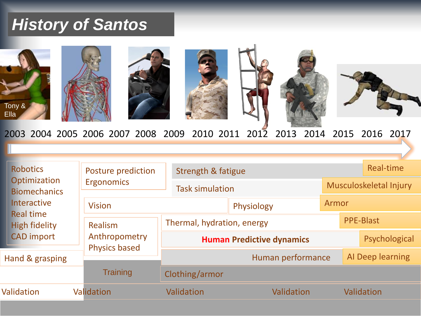## *History of Santos*



2003 2004 2005 2006 2007 2008 2009 2010 2011 2012 2013 2014 2015 2016 2017

| <b>Robotics</b><br>Optimization<br><b>Biomechanics</b><br><b>Interactive</b><br><b>Real time</b><br><b>High fidelity</b><br><b>CAD</b> import |  | Posture prediction                               | Strength & fatigue               |            |                        |                  | Real-time |  |
|-----------------------------------------------------------------------------------------------------------------------------------------------|--|--------------------------------------------------|----------------------------------|------------|------------------------|------------------|-----------|--|
|                                                                                                                                               |  | <b>Ergonomics</b>                                | <b>Task simulation</b>           |            | Musculoskeletal Injury |                  |           |  |
|                                                                                                                                               |  | <b>Vision</b>                                    |                                  | Physiology | Armor                  |                  |           |  |
|                                                                                                                                               |  | Realism<br>Anthropometry<br><b>Physics based</b> | Thermal, hydration, energy       |            | <b>PPE-Blast</b>       |                  |           |  |
|                                                                                                                                               |  |                                                  | <b>Human Predictive dynamics</b> |            | Psychological          |                  |           |  |
| Hand & grasping                                                                                                                               |  |                                                  | Human performance                |            |                        | Al Deep learning |           |  |
|                                                                                                                                               |  | <b>Training</b>                                  | Clothing/armor                   |            |                        |                  |           |  |
| <b>Validation</b>                                                                                                                             |  | Validation                                       | Validation                       | Validation | Validation             |                  |           |  |
|                                                                                                                                               |  |                                                  |                                  |            |                        |                  |           |  |